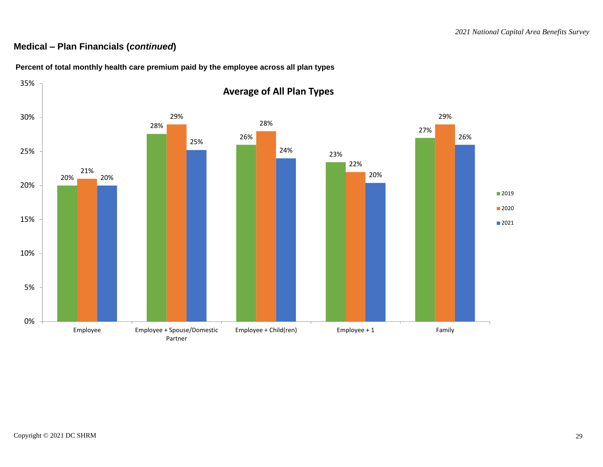## **Medical – Plan Financials (***continued***)**



**Percent of total monthly health care premium paid by the employee across all plan types**